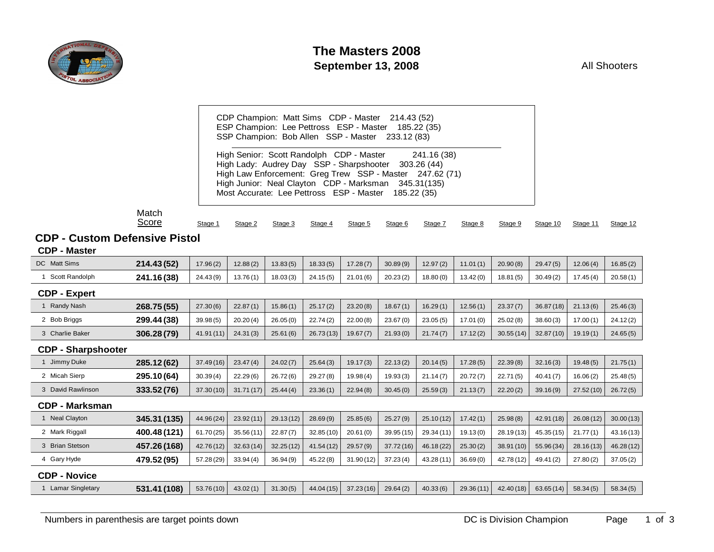

CDP Champion: Matt Sims CDP - Master 214.43 (52) ESP Champion: Lee Pettross ESP - Master 185.22 (35) SSP Champion: Bob Allen SSP - Master 233.12 (83)

High Senior: Scott Randolph CDP - Master 241.16 (38) High Lady: Audrey Day SSP - Sharpshooter 303.26 (44) High Law Enforcement: Greg Trew SSP - Master 247.62 (71) High Junior: Neal Clayton CDP - Marksman 345.31(135) Most Accurate: Lee Pettross ESP - Master 185.22 (35)

#### Match Scor

| Stage 1 | Stage 2 | Stage 3 | Stage 4 | Stage 5 | Stage 6 | Stage 7 | Stage 8 | Stage 9 | Stage 10 | Stage 11 | Stage 12 |
|---------|---------|---------|---------|---------|---------|---------|---------|---------|----------|----------|----------|
|         |         |         |         |         |         |         |         |         |          |          |          |

# **CDP - Custom Defensive Pistol**

#### **CDP - Master**

| DC Matt Sims              | 214.43 (52)  | 17.96(2)   | 12.88(2)  | 13.83(5)  | 18.33(5)  | 17.28(7)  | 30.89(9)  | 12.97(2)   | 11.01(1)  | 20.90(8)   | 29.47(5)   | 12.06(4)  | 16.85(2)   |
|---------------------------|--------------|------------|-----------|-----------|-----------|-----------|-----------|------------|-----------|------------|------------|-----------|------------|
| Scott Randolph            | 241.16(38)   | 24.43(9)   | 13.76(1)  | 18.03(3)  | 24.15(5)  | 21.01(6)  | 20.23(2)  | 18.80(0)   | 13.42(0)  | 18.81(5)   | 30.49(2)   | 17.45(4)  | 20.58(1)   |
| <b>CDP - Expert</b>       |              |            |           |           |           |           |           |            |           |            |            |           |            |
| <b>Randy Nash</b>         | 268.75 (55)  | 27.30(6)   | 22.87(1)  | 15.86(1)  | 25.17(2)  | 23.20(8)  | 18.67(1)  | 16.29(1)   | 12.56(1)  | 23.37(7)   | 36.87(18)  | 21.13(6)  | 25.46(3)   |
| 2 Bob Briggs              | 299.44 (38)  | 39.98(5)   | 20.20(4)  | 26.05(0)  | 22.74(2)  | 22.00(8)  | 23.67(0)  | 23.05(5)   | 17.01(0)  | 25.02(8)   | 38.60(3)   | 17.00(1)  | 24.12(2)   |
| 3 Charlie Baker           | 306.28 (79)  | 41.91(11)  | 24.31(3)  | 25.61(6)  | 26.73(13) | 19.67(7)  | 21.93(0)  | 21.74(7)   | 17.12(2)  | 30.55(14)  | 32.87(10)  | 19.19(1)  | 24.65(5)   |
| <b>CDP - Sharpshooter</b> |              |            |           |           |           |           |           |            |           |            |            |           |            |
| Jimmy Duke                | 285.12(62)   | 37.49(16)  | 23.47(4)  | 24.02(7)  | 25.64(3)  | 19.17(3)  | 22.13(2)  | 20.14(5)   | 17.28(5)  | 22.39(8)   | 32.16(3)   | 19.48(5)  | 21.75(1)   |
| 2 Micah Sierp             | 295.10 (64)  | 30.39(4)   | 22.29(6)  | 26.72(6)  | 29.27(8)  | 19.98(4)  | 19.93(3)  | 21.14(7)   | 20.72(7)  | 22.71(5)   | 40.41(7)   | 16.06(2)  | 25.48(5)   |
| 3 David Rawlinson         | 333.52 (76)  | 37.30(10)  | 31.71(17) | 25.44(4)  | 23.36(1)  | 22.94(8)  | 30.45(0)  | 25.59(3)   | 21.13(7)  | 22.20(2)   | 39.16(9)   | 27.52(10) | 26.72(5)   |
| <b>CDP - Marksman</b>     |              |            |           |           |           |           |           |            |           |            |            |           |            |
| 1 Neal Clayton            | 345.31 (135) | 44.96 (24) | 23.92(11) | 29.13(12) | 28.69(9)  | 25.85(6)  | 25.27(9)  | 25.10(12)  | 17.42(1)  | 25.98(8)   | 42.91 (18) | 26.08(12) | 30.00(13)  |
| 2 Mark Riggall            | 400.48 (121) | 61.70(25)  | 35.56(11) | 22.87(7)  | 32.85(10) | 20.61(0)  | 39.95(15) | 29.34 (11) | 19.13(0)  | 28.19(13)  | 45.35 (15) | 21.77(1)  | 43.16 (13) |
| 3 Brian Stetson           | 457.26 (168) | 42.76(12)  | 32.63(14) | 32.25(12) | 41.54(12) | 29.57(9)  | 37.72(16) | 46.18 (22) | 25.30(2)  | 38.91 (10) | 55.96 (34) | 28.16(13) | 46.28 (12) |
| 4 Gary Hyde               | 479.52 (95)  | 57.28 (29) | 33.94(4)  | 36.94(9)  | 45.22(8)  | 31.90(12) | 37.23(4)  | 43.28 (11) | 36.69(0)  | 42.78 (12) | 49.41(2)   | 27.80(2)  | 37.05(2)   |
| <b>CDP - Novice</b>       |              |            |           |           |           |           |           |            |           |            |            |           |            |
| <b>Lamar Singletary</b>   | 531.41 (108) | 53.76(10)  | 43.02(1)  | 31.30(5)  | 44.04(15) | 37.23(16) | 29.64(2)  | 40.33(6)   | 29.36(11) | 42.40(18)  | 63.65(14)  | 58.34(5)  | 58.34(5)   |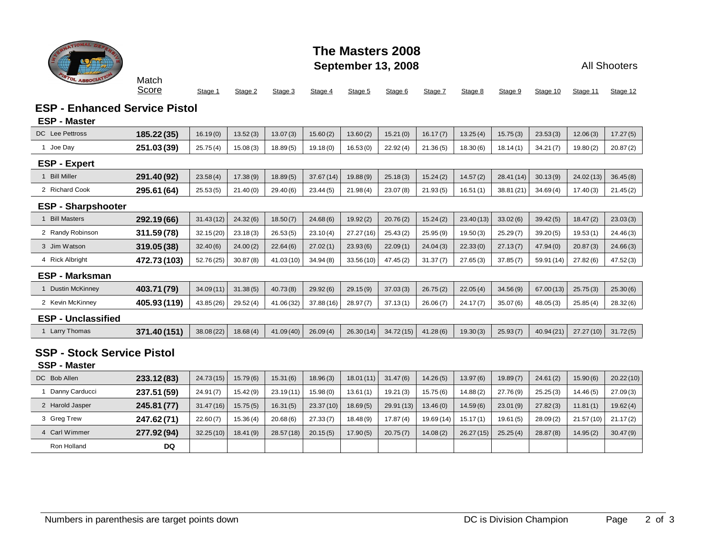

## **The Masters 2008 September 13, 2008**

All Shooters

Match <u>Sc</u>

| core |  |  |  |  |  |  |  |  |  | Stage 1 Stage 2 Stage 3 Stage 4 Stage 5 Stage 6 Stage 7 Stage 8 Stage 9 Stage 10 Stage 11 Stage 12 |  |  |
|------|--|--|--|--|--|--|--|--|--|----------------------------------------------------------------------------------------------------|--|--|
|------|--|--|--|--|--|--|--|--|--|----------------------------------------------------------------------------------------------------|--|--|

### **ESP - Enhanced Service Pistol**

#### **ESP - Master**

| <b>DC</b> Lee Pettross            | 185.22 (35)  | 16.19(0)   | 13.52(3) | 13.07(3)   | 15.60(2)   | 13.60(2)  | 15.21(0)   | 16.17(7)   | 13.25(4)  | 15.75(3)   | 23.53(3)   | 12.06(3)  | 17.27(5)  |
|-----------------------------------|--------------|------------|----------|------------|------------|-----------|------------|------------|-----------|------------|------------|-----------|-----------|
| 1 Joe Day                         | 251.03 (39)  | 25.75(4)   | 15.08(3) | 18.89(5)   | 19.18(0)   | 16.53(0)  | 22.92(4)   | 21.36(5)   | 18.30(6)  | 18.14(1)   | 34.21(7)   | 19.80(2)  | 20.87(2)  |
| <b>ESP - Expert</b>               |              |            |          |            |            |           |            |            |           |            |            |           |           |
| 1 Bill Miller                     | 291.40 (92)  | 23.58(4)   | 17.38(9) | 18.89(5)   | 37.67(14)  | 19.88(9)  | 25.18(3)   | 15.24(2)   | 14.57(2)  | 28.41 (14) | 30.13(9)   | 24.02(13) | 36.45(8)  |
| 2 Richard Cook                    | 295.61 (64)  | 25.53(5)   | 21.40(0) | 29.40(6)   | 23.44(5)   | 21.98(4)  | 23.07(8)   | 21.93(5)   | 16.51(1)  | 38.81 (21) | 34.69(4)   | 17.40(3)  | 21.45(2)  |
| <b>ESP - Sharpshooter</b>         |              |            |          |            |            |           |            |            |           |            |            |           |           |
| <b>Bill Masters</b>               | 292.19 (66)  | 31.43(12)  | 24.32(6) | 18.50(7)   | 24.68(6)   | 19.92(2)  | 20.76(2)   | 15.24(2)   | 23.40(13) | 33.02(6)   | 39.42(5)   | 18.47(2)  | 23.03(3)  |
| 2 Randy Robinson                  | 311.59(78)   | 32.15(20)  | 23.18(3) | 26.53(5)   | 23.10(4)   | 27.27(16) | 25.43(2)   | 25.95(9)   | 19.50(3)  | 25.29(7)   | 39.20(5)   | 19.53(1)  | 24.46(3)  |
| 3 Jim Watson                      | 319.05 (38)  | 32.40(6)   | 24.00(2) | 22.64(6)   | 27.02(1)   | 23.93(6)  | 22.09(1)   | 24.04(3)   | 22.33(0)  | 27.13(7)   | 47.94(0)   | 20.87(3)  | 24.66(3)  |
| 4 Rick Albright                   | 472.73 (103) | 52.76(25)  | 30.87(8) | 41.03 (10) | 34.94(8)   | 33.56(10) | 47.45(2)   | 31.37(7)   | 27.65(3)  | 37.85(7)   | 59.91 (14) | 27.82(6)  | 47.52(3)  |
| <b>ESP - Marksman</b>             |              |            |          |            |            |           |            |            |           |            |            |           |           |
| 1 Dustin McKinney                 | 403.71 (79)  | 34.09(11)  | 31.38(5) | 40.73(8)   | 29.92(6)   | 29.15(9)  | 37.03(3)   | 26.75(2)   | 22.05(4)  | 34.56(9)   | 67.00(13)  | 25.75(3)  | 25.30(6)  |
| 2 Kevin McKinney                  | 405.93 (119) | 43.85 (26) | 29.52(4) | 41.06 (32) | 37.88 (16) | 28.97(7)  | 37.13(1)   | 26.06(7)   | 24.17(7)  | 35.07(6)   | 48.05(3)   | 25.85(4)  | 28.32(6)  |
| <b>ESP - Unclassified</b>         |              |            |          |            |            |           |            |            |           |            |            |           |           |
| 1 Larry Thomas                    | 371.40 (151) | 38.08 (22) | 18.68(4) | 41.09 (40) | 26.09(4)   | 26.30(14) | 34.72(15)  | 41.28(6)   | 19.30(3)  | 25.93(7)   | 40.94 (21) | 27.27(10) | 31.72(5)  |
| <b>SSP - Stock Service Pistol</b> |              |            |          |            |            |           |            |            |           |            |            |           |           |
| <b>SSP - Master</b>               |              |            |          |            |            |           |            |            |           |            |            |           |           |
| DC Bob Allen                      | 233.12(83)   | 24.73(15)  | 15.79(6) | 15.31(6)   | 18.96(3)   | 18.01(11) | 31.47(6)   | 14.26(5)   | 13.97(6)  | 19.89(7)   | 24.61(2)   | 15.90(6)  | 20.22(10) |
| 1 Danny Carducci                  | 237.51 (59)  | 24.91(7)   | 15.42(9) | 23.19(11)  | 15.98(0)   | 13.61(1)  | 19.21(3)   | 15.75(6)   | 14.88(2)  | 27.76(9)   | 25.25(3)   | 14.46(5)  | 27.09(3)  |
| 2 Harold Jasper                   | 245.81 (77)  | 31.47(16)  | 15.75(5) | 16.31(5)   | 23.37 (10) | 18.69(5)  | 29.91 (13) | 13.46(0)   | 14.59(6)  | 23.01(9)   | 27.82(3)   | 11.81(1)  | 19.62(4)  |
| 3 Greg Trew                       | 247.62(71)   | 22.60(7)   | 15.36(4) | 20.68(6)   | 27.33(7)   | 18.48(9)  | 17.87(4)   | 19.69 (14) | 15.17(1)  | 19.61(5)   | 28.09(2)   | 21.57(10) | 21.17(2)  |

4 Carl Wimmer **277.92 (94)** 32.25 (10) 18.41 (9) 28.57 (18) 20.15 (5) 17.90 (5) 20.75 (7) 14.08 (2) 26.27 (15) 25.25 (4) 28.87 (8) 14.95 (2) 30.47 (9)

Ron Holland **DQ**